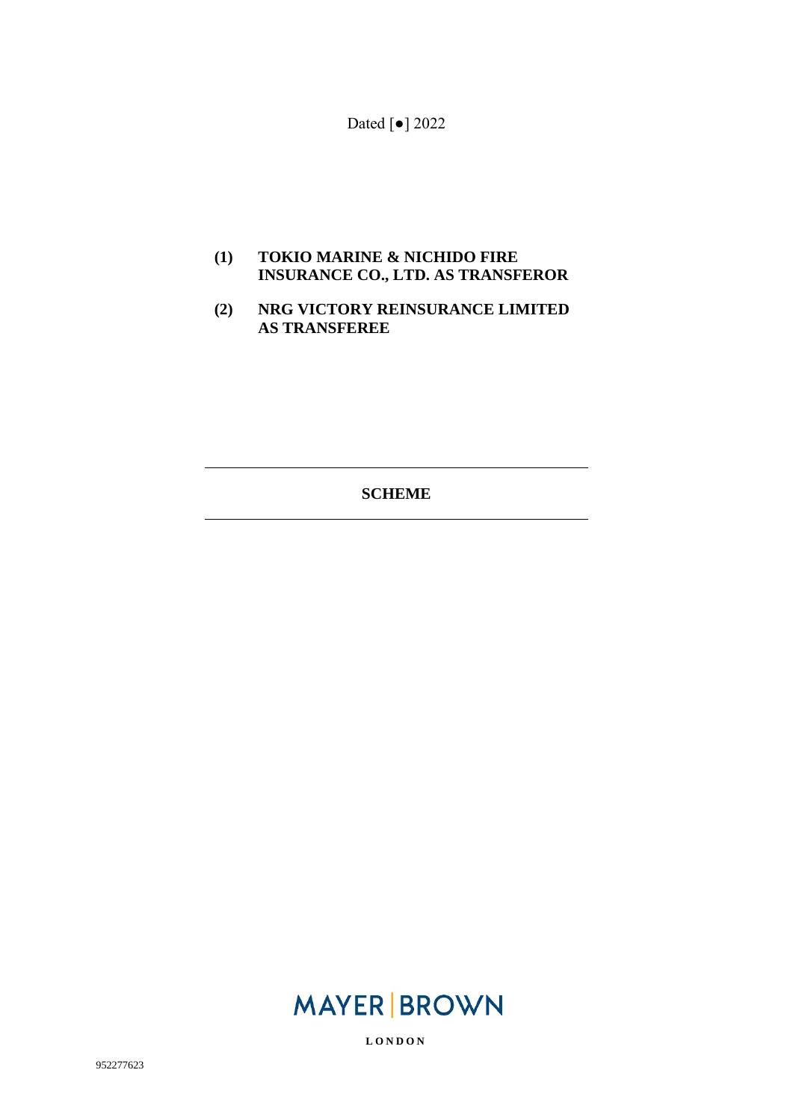Dated [●] 2022

#### **(1) TOKIO MARINE & NICHIDO FIRE INSURANCE CO., LTD. AS TRANSFEROR**

#### **(2) NRG VICTORY REINSURANCE LIMITED AS TRANSFEREE**

**SCHEME** 

# **MAYER BROWN**

**L O N D O N**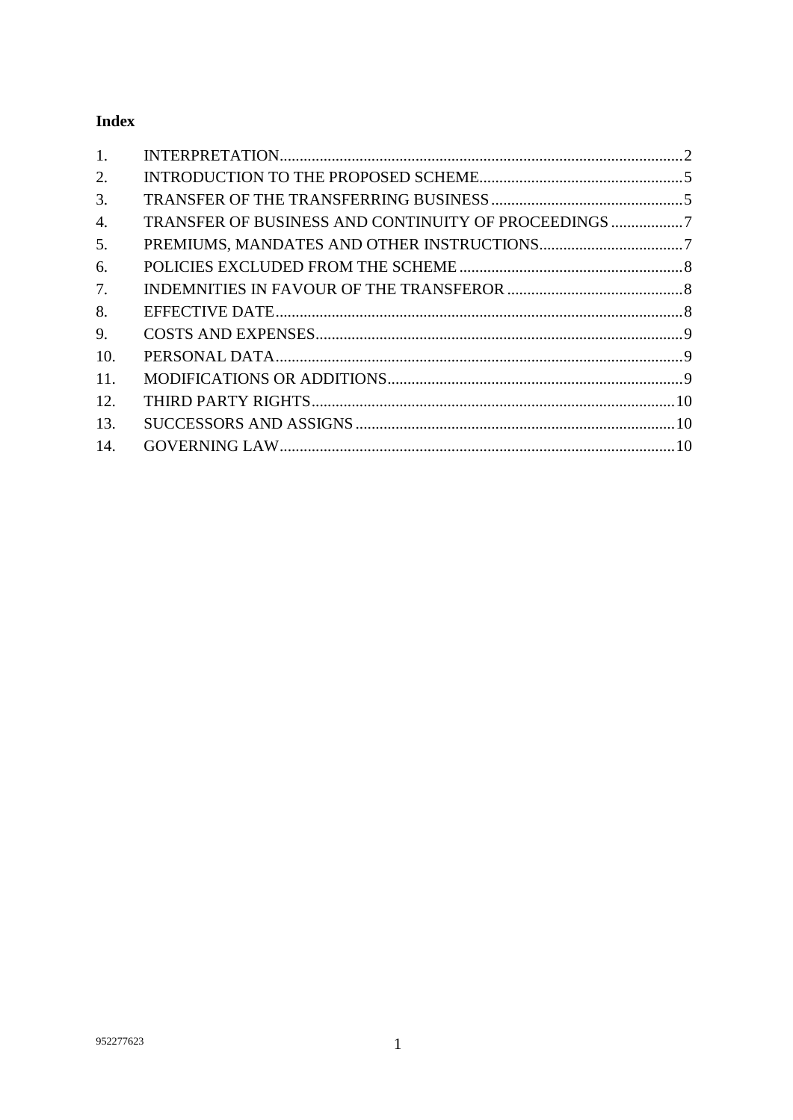## **Index**

| 1.               |  |
|------------------|--|
| 2.               |  |
| 3.               |  |
| $\overline{4}$ . |  |
| 5.               |  |
| 6.               |  |
| 7.               |  |
| 8.               |  |
| 9.               |  |
| 10.              |  |
| 11.              |  |
| 12.              |  |
| 13.              |  |
| 14.              |  |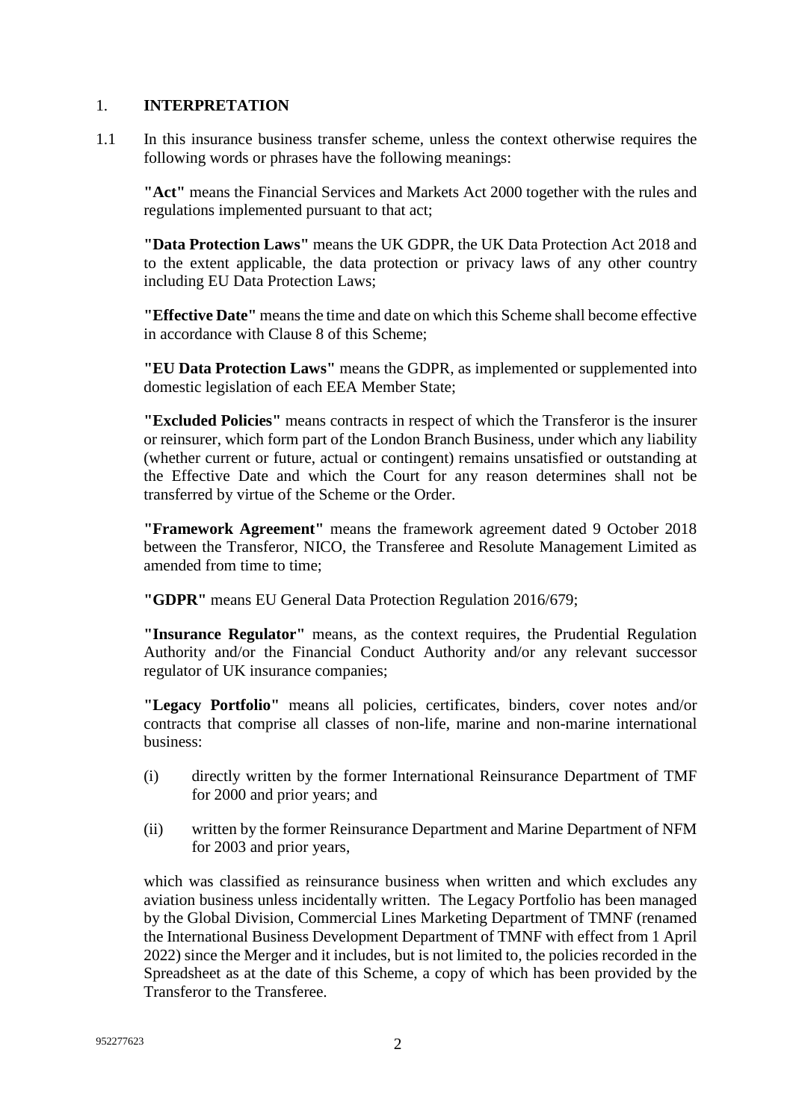#### <span id="page-2-0"></span>1. **INTERPRETATION**

1.1 In this insurance business transfer scheme, unless the context otherwise requires the following words or phrases have the following meanings:

**"Act"** means the Financial Services and Markets Act 2000 together with the rules and regulations implemented pursuant to that act;

**"Data Protection Laws"** means the UK GDPR, the UK Data Protection Act 2018 and to the extent applicable, the data protection or privacy laws of any other country including EU Data Protection Laws;

**"Effective Date"** means the time and date on which this Scheme shall become effective in accordance with Clause 8 of this Scheme;

**"EU Data Protection Laws"** means the GDPR, as implemented or supplemented into domestic legislation of each EEA Member State;

**"Excluded Policies"** means contracts in respect of which the Transferor is the insurer or reinsurer, which form part of the London Branch Business, under which any liability (whether current or future, actual or contingent) remains unsatisfied or outstanding at the Effective Date and which the Court for any reason determines shall not be transferred by virtue of the Scheme or the Order.

**"Framework Agreement"** means the framework agreement dated 9 October 2018 between the Transferor, NICO, the Transferee and Resolute Management Limited as amended from time to time;

**"GDPR"** means EU General Data Protection Regulation 2016/679;

**"Insurance Regulator"** means, as the context requires, the Prudential Regulation Authority and/or the Financial Conduct Authority and/or any relevant successor regulator of UK insurance companies;

**"Legacy Portfolio"** means all policies, certificates, binders, cover notes and/or contracts that comprise all classes of non-life, marine and non-marine international business:

- (i) directly written by the former International Reinsurance Department of TMF for 2000 and prior years; and
- (ii) written by the former Reinsurance Department and Marine Department of NFM for 2003 and prior years,

which was classified as reinsurance business when written and which excludes any aviation business unless incidentally written. The Legacy Portfolio has been managed by the Global Division, Commercial Lines Marketing Department of TMNF (renamed the International Business Development Department of TMNF with effect from 1 April 2022) since the Merger and it includes, but is not limited to, the policies recorded in the Spreadsheet as at the date of this Scheme, a copy of which has been provided by the Transferor to the Transferee.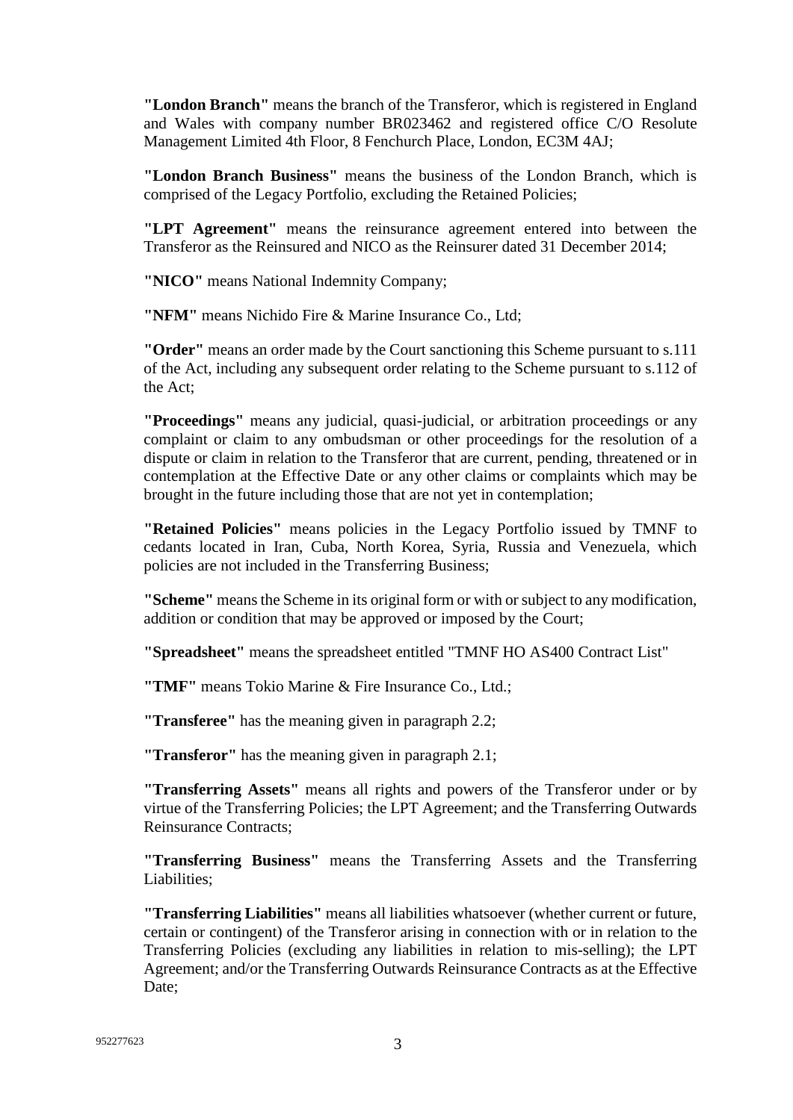**"London Branch"** means the branch of the Transferor, which is registered in England and Wales with company number BR023462 and registered office C/O Resolute Management Limited 4th Floor, 8 Fenchurch Place, London, EC3M 4AJ;

**"London Branch Business"** means the business of the London Branch, which is comprised of the Legacy Portfolio, excluding the Retained Policies;

**"LPT Agreement"** means the reinsurance agreement entered into between the Transferor as the Reinsured and NICO as the Reinsurer dated 31 December 2014;

**"NICO"** means National Indemnity Company;

**"NFM"** means Nichido Fire & Marine Insurance Co., Ltd;

**"Order"** means an order made by the Court sanctioning this Scheme pursuant to s.111 of the Act, including any subsequent order relating to the Scheme pursuant to s.112 of the Act;

**"Proceedings"** means any judicial, quasi-judicial, or arbitration proceedings or any complaint or claim to any ombudsman or other proceedings for the resolution of a dispute or claim in relation to the Transferor that are current, pending, threatened or in contemplation at the Effective Date or any other claims or complaints which may be brought in the future including those that are not yet in contemplation;

**"Retained Policies"** means policies in the Legacy Portfolio issued by TMNF to cedants located in Iran, Cuba, North Korea, Syria, Russia and Venezuela, which policies are not included in the Transferring Business;

**"Scheme"** means the Scheme in its original form or with or subject to any modification, addition or condition that may be approved or imposed by the Court;

**"Spreadsheet"** means the spreadsheet entitled "TMNF HO AS400 Contract List"

**"TMF"** means Tokio Marine & Fire Insurance Co., Ltd.;

**"Transferee"** has the meaning given in paragraph 2.2;

**"Transferor"** has the meaning given in paragraph 2.1;

**"Transferring Assets"** means all rights and powers of the Transferor under or by virtue of the Transferring Policies; the LPT Agreement; and the Transferring Outwards Reinsurance Contracts;

**"Transferring Business"** means the Transferring Assets and the Transferring Liabilities;

**"Transferring Liabilities"** means all liabilities whatsoever (whether current or future, certain or contingent) of the Transferor arising in connection with or in relation to the Transferring Policies (excluding any liabilities in relation to mis-selling); the LPT Agreement; and/or the Transferring Outwards Reinsurance Contracts as at the Effective Date: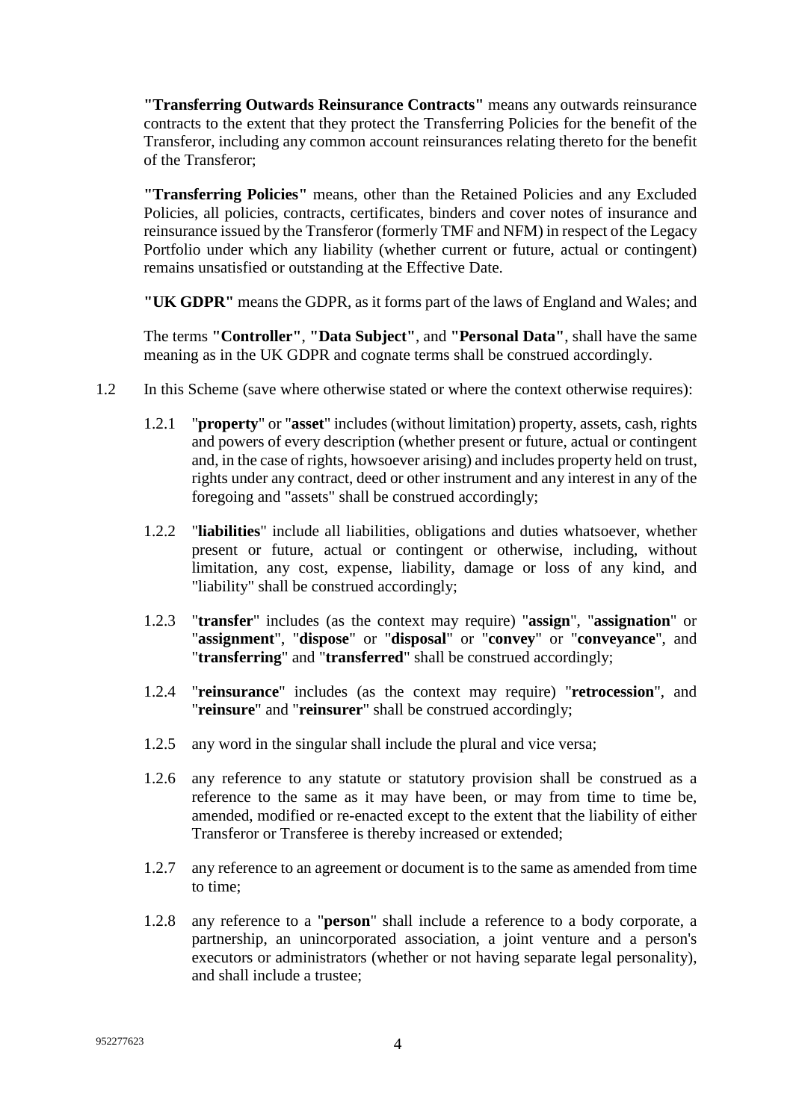**"Transferring Outwards Reinsurance Contracts"** means any outwards reinsurance contracts to the extent that they protect the Transferring Policies for the benefit of the Transferor, including any common account reinsurances relating thereto for the benefit of the Transferor;

**"Transferring Policies"** means, other than the Retained Policies and any Excluded Policies, all policies, contracts, certificates, binders and cover notes of insurance and reinsurance issued by the Transferor (formerly TMF and NFM) in respect of the Legacy Portfolio under which any liability (whether current or future, actual or contingent) remains unsatisfied or outstanding at the Effective Date.

**"UK GDPR"** means the GDPR, as it forms part of the laws of England and Wales; and

The terms **"Controller"**, **"Data Subject"**, and **"Personal Data"**, shall have the same meaning as in the UK GDPR and cognate terms shall be construed accordingly.

- 1.2 In this Scheme (save where otherwise stated or where the context otherwise requires):
	- 1.2.1 "**property**" or "**asset**" includes (without limitation) property, assets, cash, rights and powers of every description (whether present or future, actual or contingent and, in the case of rights, howsoever arising) and includes property held on trust, rights under any contract, deed or other instrument and any interest in any of the foregoing and "assets" shall be construed accordingly;
	- 1.2.2 "**liabilities**" include all liabilities, obligations and duties whatsoever, whether present or future, actual or contingent or otherwise, including, without limitation, any cost, expense, liability, damage or loss of any kind, and "liability" shall be construed accordingly;
	- 1.2.3 "**transfer**" includes (as the context may require) "**assign**", "**assignation**" or "**assignment**", "**dispose**" or "**disposal**" or "**convey**" or "**conveyance**", and "**transferring**" and "**transferred**" shall be construed accordingly;
	- 1.2.4 "**reinsurance**" includes (as the context may require) "**retrocession**", and "**reinsure**" and "**reinsurer**" shall be construed accordingly;
	- 1.2.5 any word in the singular shall include the plural and vice versa;
	- 1.2.6 any reference to any statute or statutory provision shall be construed as a reference to the same as it may have been, or may from time to time be, amended, modified or re-enacted except to the extent that the liability of either Transferor or Transferee is thereby increased or extended;
	- 1.2.7 any reference to an agreement or document is to the same as amended from time to time;
	- 1.2.8 any reference to a "**person**" shall include a reference to a body corporate, a partnership, an unincorporated association, a joint venture and a person's executors or administrators (whether or not having separate legal personality), and shall include a trustee;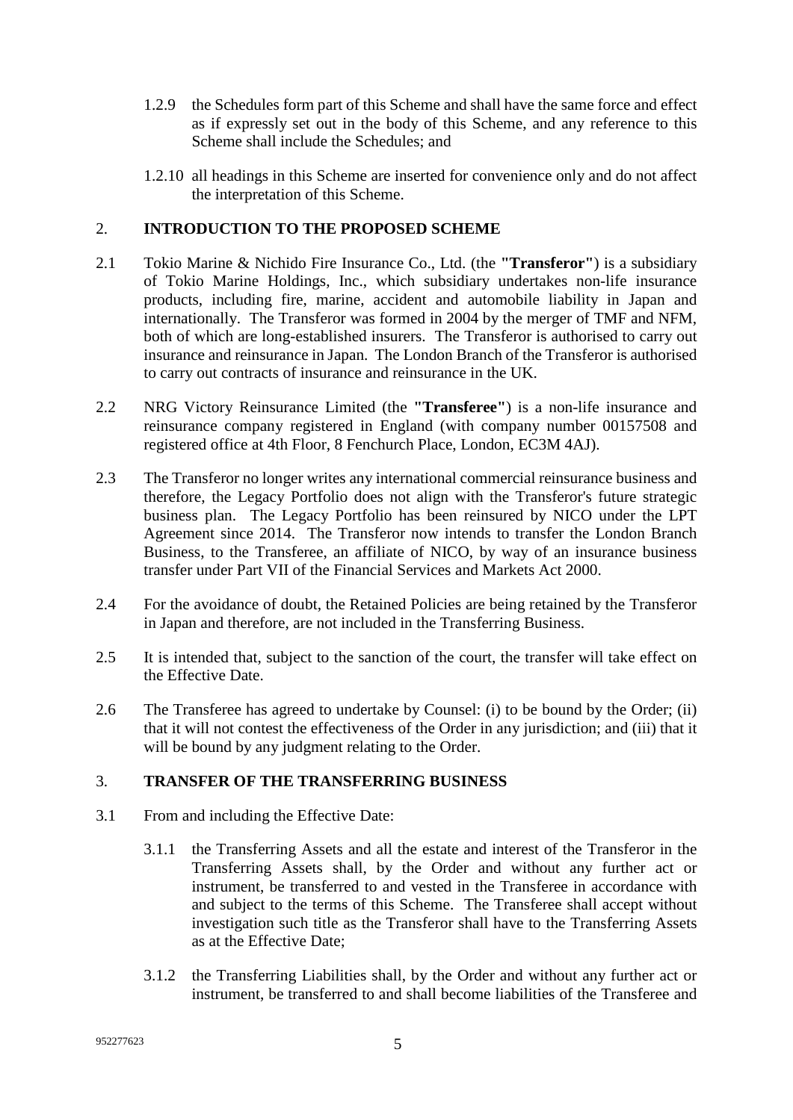- 1.2.9 the Schedules form part of this Scheme and shall have the same force and effect as if expressly set out in the body of this Scheme, and any reference to this Scheme shall include the Schedules; and
- <span id="page-5-0"></span>1.2.10 all headings in this Scheme are inserted for convenience only and do not affect the interpretation of this Scheme.

#### 2. **INTRODUCTION TO THE PROPOSED SCHEME**

- 2.1 Tokio Marine & Nichido Fire Insurance Co., Ltd. (the **"Transferor"**) is a subsidiary of Tokio Marine Holdings, Inc., which subsidiary undertakes non-life insurance products, including fire, marine, accident and automobile liability in Japan and internationally. The Transferor was formed in 2004 by the merger of TMF and NFM, both of which are long-established insurers. The Transferor is authorised to carry out insurance and reinsurance in Japan. The London Branch of the Transferor is authorised to carry out contracts of insurance and reinsurance in the UK.
- 2.2 NRG Victory Reinsurance Limited (the **"Transferee"**) is a non-life insurance and reinsurance company registered in England (with company number 00157508 and registered office at 4th Floor, 8 Fenchurch Place, London, EC3M 4AJ).
- 2.3 The Transferor no longer writes any international commercial reinsurance business and therefore, the Legacy Portfolio does not align with the Transferor's future strategic business plan. The Legacy Portfolio has been reinsured by NICO under the LPT Agreement since 2014. The Transferor now intends to transfer the London Branch Business, to the Transferee, an affiliate of NICO, by way of an insurance business transfer under Part VII of the Financial Services and Markets Act 2000.
- 2.4 For the avoidance of doubt, the Retained Policies are being retained by the Transferor in Japan and therefore, are not included in the Transferring Business.
- 2.5 It is intended that, subject to the sanction of the court, the transfer will take effect on the Effective Date.
- 2.6 The Transferee has agreed to undertake by Counsel: (i) to be bound by the Order; (ii) that it will not contest the effectiveness of the Order in any jurisdiction; and (iii) that it will be bound by any judgment relating to the Order.

#### <span id="page-5-1"></span>3. **TRANSFER OF THE TRANSFERRING BUSINESS**

- 3.1 From and including the Effective Date:
	- 3.1.1 the Transferring Assets and all the estate and interest of the Transferor in the Transferring Assets shall, by the Order and without any further act or instrument, be transferred to and vested in the Transferee in accordance with and subject to the terms of this Scheme. The Transferee shall accept without investigation such title as the Transferor shall have to the Transferring Assets as at the Effective Date;
	- 3.1.2 the Transferring Liabilities shall, by the Order and without any further act or instrument, be transferred to and shall become liabilities of the Transferee and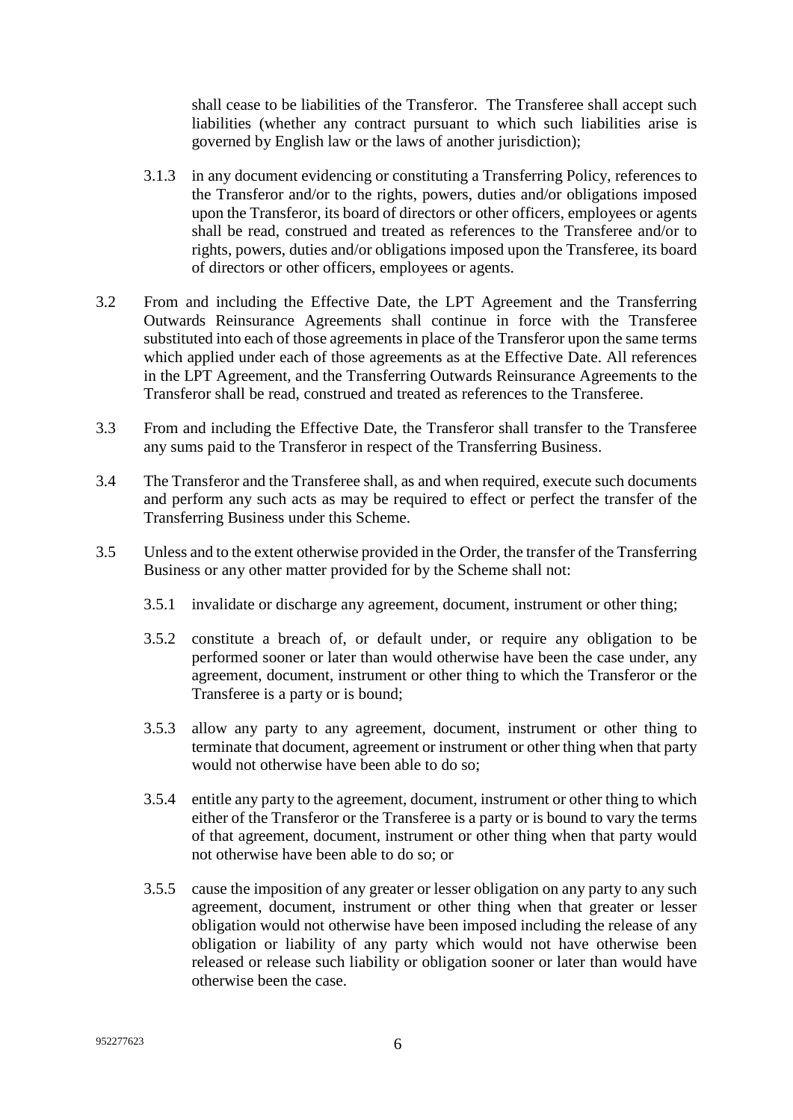shall cease to be liabilities of the Transferor. The Transferee shall accept such liabilities (whether any contract pursuant to which such liabilities arise is governed by English law or the laws of another jurisdiction);

- 3.1.3 in any document evidencing or constituting a Transferring Policy, references to the Transferor and/or to the rights, powers, duties and/or obligations imposed upon the Transferor, its board of directors or other officers, employees or agents shall be read, construed and treated as references to the Transferee and/or to rights, powers, duties and/or obligations imposed upon the Transferee, its board of directors or other officers, employees or agents.
- 3.2 From and including the Effective Date, the LPT Agreement and the Transferring Outwards Reinsurance Agreements shall continue in force with the Transferee substituted into each of those agreements in place of the Transferor upon the same terms which applied under each of those agreements as at the Effective Date. All references in the LPT Agreement, and the Transferring Outwards Reinsurance Agreements to the Transferor shall be read, construed and treated as references to the Transferee.
- 3.3 From and including the Effective Date, the Transferor shall transfer to the Transferee any sums paid to the Transferor in respect of the Transferring Business.
- 3.4 The Transferor and the Transferee shall, as and when required, execute such documents and perform any such acts as may be required to effect or perfect the transfer of the Transferring Business under this Scheme.
- 3.5 Unless and to the extent otherwise provided in the Order, the transfer of the Transferring Business or any other matter provided for by the Scheme shall not:
	- 3.5.1 invalidate or discharge any agreement, document, instrument or other thing;
	- 3.5.2 constitute a breach of, or default under, or require any obligation to be performed sooner or later than would otherwise have been the case under, any agreement, document, instrument or other thing to which the Transferor or the Transferee is a party or is bound;
	- 3.5.3 allow any party to any agreement, document, instrument or other thing to terminate that document, agreement or instrument or other thing when that party would not otherwise have been able to do so;
	- 3.5.4 entitle any party to the agreement, document, instrument or other thing to which either of the Transferor or the Transferee is a party or is bound to vary the terms of that agreement, document, instrument or other thing when that party would not otherwise have been able to do so; or
	- 3.5.5 cause the imposition of any greater or lesser obligation on any party to any such agreement, document, instrument or other thing when that greater or lesser obligation would not otherwise have been imposed including the release of any obligation or liability of any party which would not have otherwise been released or release such liability or obligation sooner or later than would have otherwise been the case.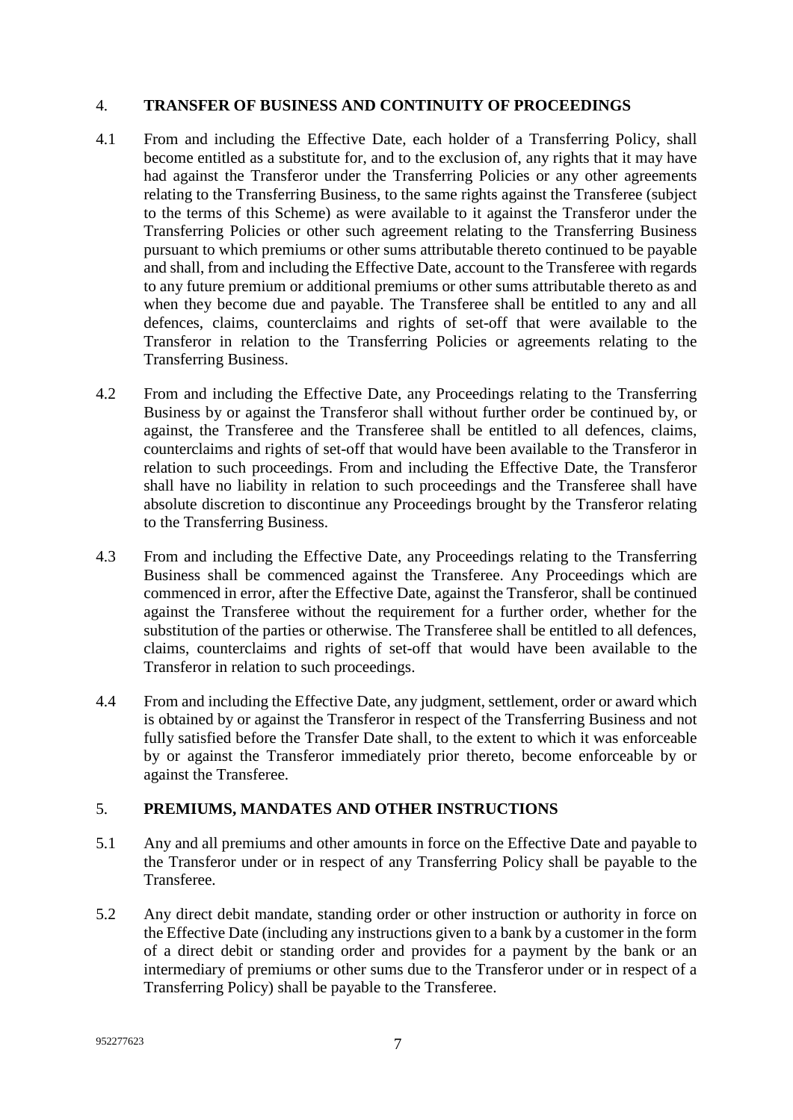#### <span id="page-7-0"></span>4. **TRANSFER OF BUSINESS AND CONTINUITY OF PROCEEDINGS**

- 4.1 From and including the Effective Date, each holder of a Transferring Policy, shall become entitled as a substitute for, and to the exclusion of, any rights that it may have had against the Transferor under the Transferring Policies or any other agreements relating to the Transferring Business, to the same rights against the Transferee (subject to the terms of this Scheme) as were available to it against the Transferor under the Transferring Policies or other such agreement relating to the Transferring Business pursuant to which premiums or other sums attributable thereto continued to be payable and shall, from and including the Effective Date, account to the Transferee with regards to any future premium or additional premiums or other sums attributable thereto as and when they become due and payable. The Transferee shall be entitled to any and all defences, claims, counterclaims and rights of set-off that were available to the Transferor in relation to the Transferring Policies or agreements relating to the Transferring Business.
- 4.2 From and including the Effective Date, any Proceedings relating to the Transferring Business by or against the Transferor shall without further order be continued by, or against, the Transferee and the Transferee shall be entitled to all defences, claims, counterclaims and rights of set-off that would have been available to the Transferor in relation to such proceedings. From and including the Effective Date, the Transferor shall have no liability in relation to such proceedings and the Transferee shall have absolute discretion to discontinue any Proceedings brought by the Transferor relating to the Transferring Business.
- 4.3 From and including the Effective Date, any Proceedings relating to the Transferring Business shall be commenced against the Transferee. Any Proceedings which are commenced in error, after the Effective Date, against the Transferor, shall be continued against the Transferee without the requirement for a further order, whether for the substitution of the parties or otherwise. The Transferee shall be entitled to all defences, claims, counterclaims and rights of set-off that would have been available to the Transferor in relation to such proceedings.
- 4.4 From and including the Effective Date, any judgment, settlement, order or award which is obtained by or against the Transferor in respect of the Transferring Business and not fully satisfied before the Transfer Date shall, to the extent to which it was enforceable by or against the Transferor immediately prior thereto, become enforceable by or against the Transferee.

#### <span id="page-7-1"></span>5. **PREMIUMS, MANDATES AND OTHER INSTRUCTIONS**

- 5.1 Any and all premiums and other amounts in force on the Effective Date and payable to the Transferor under or in respect of any Transferring Policy shall be payable to the Transferee.
- 5.2 Any direct debit mandate, standing order or other instruction or authority in force on the Effective Date (including any instructions given to a bank by a customer in the form of a direct debit or standing order and provides for a payment by the bank or an intermediary of premiums or other sums due to the Transferor under or in respect of a Transferring Policy) shall be payable to the Transferee.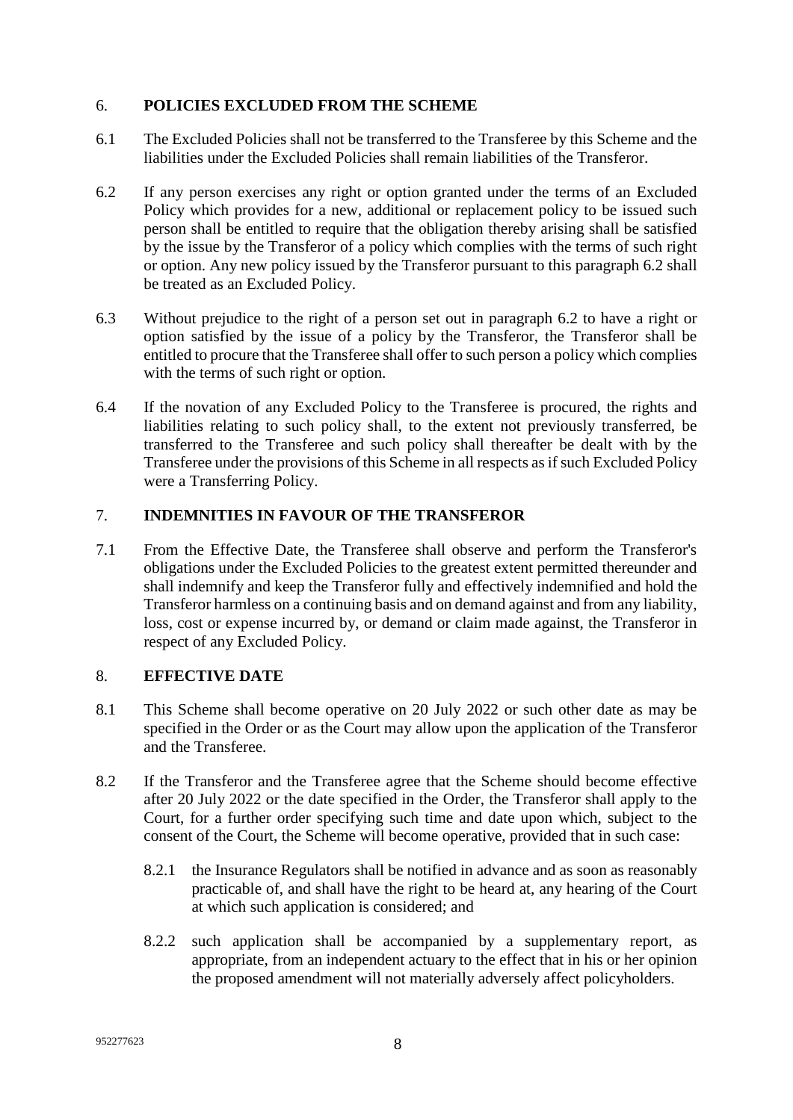#### <span id="page-8-0"></span>6. **POLICIES EXCLUDED FROM THE SCHEME**

- 6.1 The Excluded Policies shall not be transferred to the Transferee by this Scheme and the liabilities under the Excluded Policies shall remain liabilities of the Transferor.
- 6.2 If any person exercises any right or option granted under the terms of an Excluded Policy which provides for a new, additional or replacement policy to be issued such person shall be entitled to require that the obligation thereby arising shall be satisfied by the issue by the Transferor of a policy which complies with the terms of such right or option. Any new policy issued by the Transferor pursuant to this paragraph 6.2 shall be treated as an Excluded Policy.
- 6.3 Without prejudice to the right of a person set out in paragraph 6.2 to have a right or option satisfied by the issue of a policy by the Transferor, the Transferor shall be entitled to procure that the Transferee shall offer to such person a policy which complies with the terms of such right or option.
- 6.4 If the novation of any Excluded Policy to the Transferee is procured, the rights and liabilities relating to such policy shall, to the extent not previously transferred, be transferred to the Transferee and such policy shall thereafter be dealt with by the Transferee under the provisions of this Scheme in all respects as if such Excluded Policy were a Transferring Policy.

#### <span id="page-8-1"></span>7. **INDEMNITIES IN FAVOUR OF THE TRANSFEROR**

7.1 From the Effective Date, the Transferee shall observe and perform the Transferor's obligations under the Excluded Policies to the greatest extent permitted thereunder and shall indemnify and keep the Transferor fully and effectively indemnified and hold the Transferor harmless on a continuing basis and on demand against and from any liability, loss, cost or expense incurred by, or demand or claim made against, the Transferor in respect of any Excluded Policy.

#### <span id="page-8-2"></span>8. **EFFECTIVE DATE**

- 8.1 This Scheme shall become operative on 20 July 2022 or such other date as may be specified in the Order or as the Court may allow upon the application of the Transferor and the Transferee.
- 8.2 If the Transferor and the Transferee agree that the Scheme should become effective after 20 July 2022 or the date specified in the Order, the Transferor shall apply to the Court, for a further order specifying such time and date upon which, subject to the consent of the Court, the Scheme will become operative, provided that in such case:
	- 8.2.1 the Insurance Regulators shall be notified in advance and as soon as reasonably practicable of, and shall have the right to be heard at, any hearing of the Court at which such application is considered; and
	- 8.2.2 such application shall be accompanied by a supplementary report, as appropriate, from an independent actuary to the effect that in his or her opinion the proposed amendment will not materially adversely affect policyholders.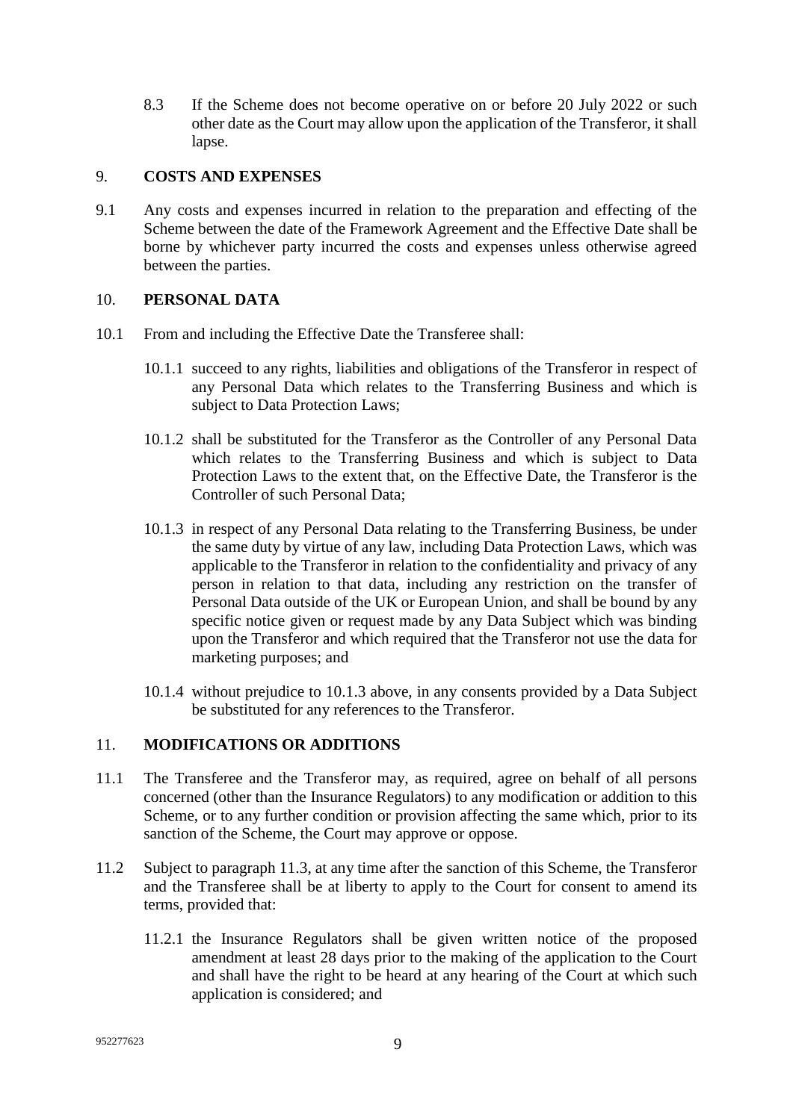8.3 If the Scheme does not become operative on or before 20 July 2022 or such other date as the Court may allow upon the application of the Transferor, it shall lapse.

#### <span id="page-9-0"></span>9. **COSTS AND EXPENSES**

9.1 Any costs and expenses incurred in relation to the preparation and effecting of the Scheme between the date of the Framework Agreement and the Effective Date shall be borne by whichever party incurred the costs and expenses unless otherwise agreed between the parties.

#### <span id="page-9-1"></span>10. **PERSONAL DATA**

- 10.1 From and including the Effective Date the Transferee shall:
	- 10.1.1 succeed to any rights, liabilities and obligations of the Transferor in respect of any Personal Data which relates to the Transferring Business and which is subject to Data Protection Laws;
	- 10.1.2 shall be substituted for the Transferor as the Controller of any Personal Data which relates to the Transferring Business and which is subject to Data Protection Laws to the extent that, on the Effective Date, the Transferor is the Controller of such Personal Data;
	- 10.1.3 in respect of any Personal Data relating to the Transferring Business, be under the same duty by virtue of any law, including Data Protection Laws, which was applicable to the Transferor in relation to the confidentiality and privacy of any person in relation to that data, including any restriction on the transfer of Personal Data outside of the UK or European Union, and shall be bound by any specific notice given or request made by any Data Subject which was binding upon the Transferor and which required that the Transferor not use the data for marketing purposes; and
	- 10.1.4 without prejudice to 10.1.3 above, in any consents provided by a Data Subject be substituted for any references to the Transferor.

#### <span id="page-9-2"></span>11. **MODIFICATIONS OR ADDITIONS**

- 11.1 The Transferee and the Transferor may, as required, agree on behalf of all persons concerned (other than the Insurance Regulators) to any modification or addition to this Scheme, or to any further condition or provision affecting the same which, prior to its sanction of the Scheme, the Court may approve or oppose.
- 11.2 Subject to paragraph 11.3, at any time after the sanction of this Scheme, the Transferor and the Transferee shall be at liberty to apply to the Court for consent to amend its terms, provided that:
	- 11.2.1 the Insurance Regulators shall be given written notice of the proposed amendment at least 28 days prior to the making of the application to the Court and shall have the right to be heard at any hearing of the Court at which such application is considered; and